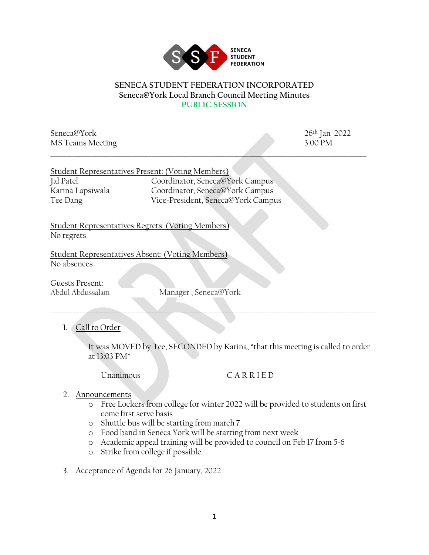

## **SENECA STUDENT FEDERATION INCORPORATED Seneca@York Local Branch Council Meeting Minutes PUBLIC SESSION**

\_\_\_\_\_\_\_\_\_\_\_\_\_\_\_\_\_\_\_\_\_\_\_\_\_\_\_\_\_\_\_\_\_\_\_\_\_\_\_\_\_\_\_\_\_\_\_\_\_\_\_\_\_\_\_\_\_\_\_\_\_\_\_\_\_\_\_\_\_\_\_\_\_\_\_\_\_\_\_\_\_\_\_\_\_\_\_\_\_\_\_\_\_\_\_\_\_\_\_\_

Seneca@York 26<sup>th</sup> Jan 2022 MS Teams Meeting 3:00 PM

|                  | Student Representatives Present: (Voting Members) |
|------------------|---------------------------------------------------|
| Jal Patel        | Coordinator, Seneca@York Campus                   |
| Karina Lapsiwala | Coordinator, Seneca@York Campus                   |
| Tee Dang         | Vice-President, Seneca@York Campus                |

Student Representatives Regrets: (Voting Members) No regrets

Student Representatives Absent: (Voting Members) No absences

Guests Present:

Abdul Abdussalam Manager , Seneca@York

 $\Box$  . The contract of the contract of the contract of the contract of the contract of the contract of the contract of the contract of the contract of the contract of the contract of the contract of the contract of the co

1. Call to Order

It was MOVED by Tee, SECONDED by Karina, "that this meeting is called to order at 13:03 PM"

## Unanimous C A R R I E D

- 2. Announcements
	- o Free Lockers from college for winter 2022 will be provided to students on first come first serve basis
	- o Shuttle bus will be starting from march 7
	- o Food band in Seneca York will be starting from next week
	- o Academic appeal training will be provided to council on Feb 17 from 5-6
	- o Strike from college if possible
- 3. Acceptance of Agenda for 26 January, 2022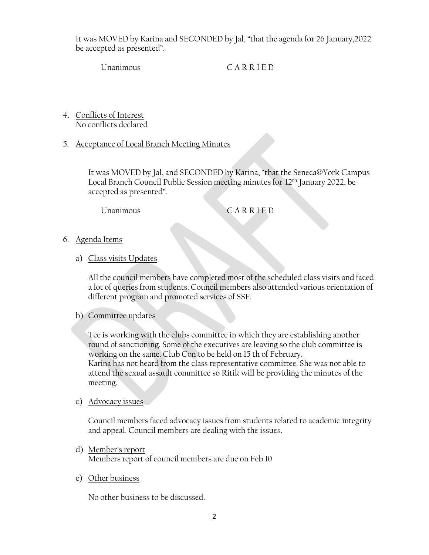It was MOVED by Karina and SECONDED by Jal, "that the agenda for 26 January,2022 be accepted as presented".

Unanimous C A R R I E D

- 4. Conflicts of Interest No conflicts declared
- 5. Acceptance of Local Branch Meeting Minutes

It was MOVED by Jal, and SECONDED by Karina, "that the Seneca@York Campus Local Branch Council Public Session meeting minutes for 12th January 2022, be accepted as presented".

Unanimous CARRIED

- 6. Agenda Items
	- a) Class visits Updates

All the council members have completed most of the scheduled class visits and faced a lot of queries from students. Council members also attended various orientation of different program and promoted services of SSF.

b) Committee updates

Tee is working with the clubs committee in which they are establishing another round of sanctioning. Some of the executives are leaving so the club committee is working on the same. Club Con to be held on 15 th of February.

Karina has not heard from the class representative committee. She was not able to attend the sexual assault committee so Ritik will be providing the minutes of the meeting.

c) Advocacy issues

Council members faced advocacy issues from students related to academic integrity and appeal. Council members are dealing with the issues.

- d) Member's report Members report of council members are due on Feb 10
- e) Other business

No other business to be discussed.